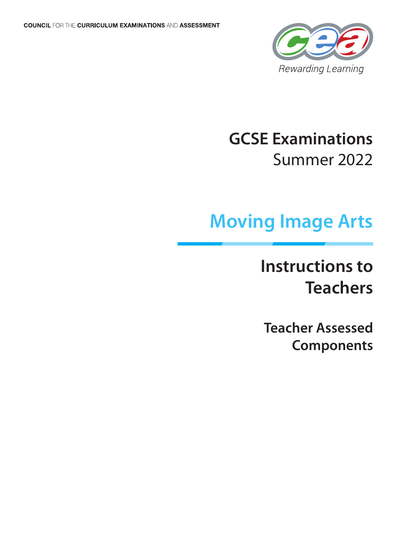

# **GCSE Examinations** Summer 2022

# **Moving Image Arts**

# **Instructions to Teachers**

**Teacher Assessed Components**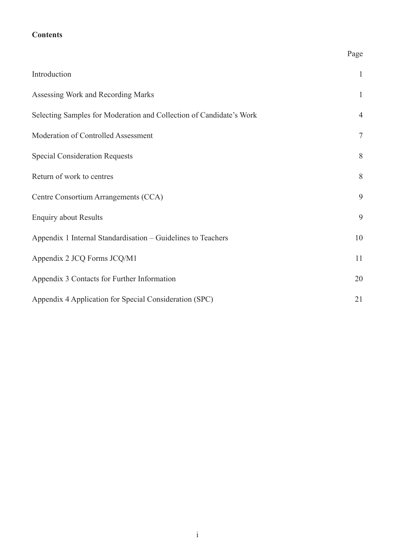# **Contents**

|                                                                     | Page           |
|---------------------------------------------------------------------|----------------|
| Introduction                                                        | $\mathbf{1}$   |
| Assessing Work and Recording Marks                                  | $\mathbf{1}$   |
| Selecting Samples for Moderation and Collection of Candidate's Work | $\overline{4}$ |
| Moderation of Controlled Assessment                                 | $\tau$         |
| <b>Special Consideration Requests</b>                               | 8              |
| Return of work to centres                                           | 8              |
| Centre Consortium Arrangements (CCA)                                | 9              |
| <b>Enquiry about Results</b>                                        | 9              |
| Appendix 1 Internal Standardisation - Guidelines to Teachers        | $10\,$         |
| Appendix 2 JCQ Forms JCQ/M1                                         | 11             |
| Appendix 3 Contacts for Further Information                         | 20             |
| Appendix 4 Application for Special Consideration (SPC)              | 21             |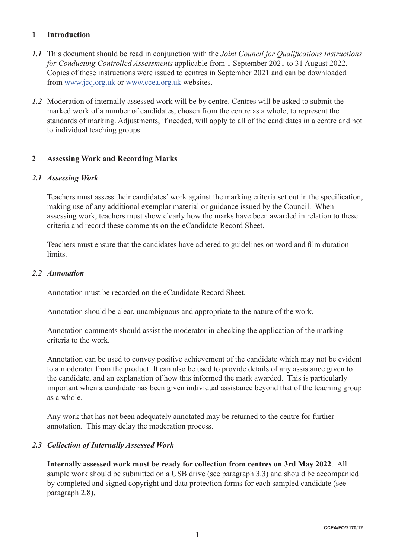# **1 Introduction**

- *1.1* This document should be read in conjunction with the *Joint Council for Qualifications Instructions for Conducting Controlled Assessments* applicable from 1 September 2021 to 31 August 2022. Copies of these instructions were issued to centres in September 2021 and can be downloaded from www.jcq.org.uk or www.ccea.org.uk websites.
- *1.2* Moderation of internally assessed work will be by centre. Centres will be asked to submit the marked work of a number of candidates, chosen from the centre as a whole, to represent the standards of marking. Adjustments, if needed, will apply to all of the candidates in a centre and not to individual teaching groups.

#### **2 Assessing Work and Recording Marks**

#### *2.1 Assessing Work*

Teachers must assess their candidates' work against the marking criteria set out in the specification, making use of any additional exemplar material or guidance issued by the Council. When assessing work, teachers must show clearly how the marks have been awarded in relation to these criteria and record these comments on the eCandidate Record Sheet.

Teachers must ensure that the candidates have adhered to guidelines on word and film duration limits.

#### *2.2 Annotation*

Annotation must be recorded on the eCandidate Record Sheet.

Annotation should be clear, unambiguous and appropriate to the nature of the work.

Annotation comments should assist the moderator in checking the application of the marking criteria to the work.

Annotation can be used to convey positive achievement of the candidate which may not be evident to a moderator from the product. It can also be used to provide details of any assistance given to the candidate, and an explanation of how this informed the mark awarded. This is particularly important when a candidate has been given individual assistance beyond that of the teaching group as a whole.

Any work that has not been adequately annotated may be returned to the centre for further annotation. This may delay the moderation process.

#### *2.3 Collection of Internally Assessed Work*

**Internally assessed work must be ready for collection from centres on 3rd May 2022**. All sample work should be submitted on a USB drive (see paragraph 3.3) and should be accompanied by completed and signed copyright and data protection forms for each sampled candidate (see paragraph 2.8).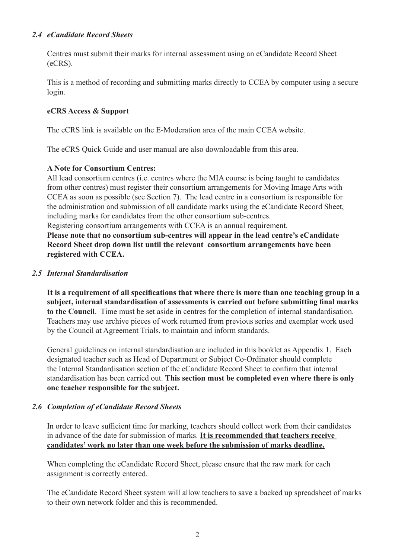#### *2.4 eCandidate Record Sheets*

Centres must submit their marks for internal assessment using an eCandidate Record Sheet (eCRS).

This is a method of recording and submitting marks directly to CCEA by computer using a secure login.

# **eCRS Access & Support**

The eCRS link is available on the E-Moderation area of the main CCEA website.

The eCRS Quick Guide and user manual are also downloadable from this area.

#### **A Note for Consortium Centres:**

All lead consortium centres (i.e. centres where the MIA course is being taught to candidates from other centres) must register their consortium arrangements for Moving Image Arts with CCEA as soon as possible (see Section 7). The lead centre in a consortium is responsible for the administration and submission of all candidate marks using the eCandidate Record Sheet, including marks for candidates from the other consortium sub-centres.

Registering consortium arrangements with CCEA is an annual requirement.

**Please note that no consortium sub-centres will appear in the lead centre's eCandidate Record Sheet drop down list until the relevant consortium arrangements have been registered with CCEA.**

#### *2.5 Internal Standardisation*

**It is a requirement of all specifications that where there is more than one teaching group in a subject, internal standardisation of assessments is carried out before submitting final marks to the Council**. Time must be set aside in centres for the completion of internal standardisation. Teachers may use archive pieces of work returned from previous series and exemplar work used by the Council at Agreement Trials, to maintain and inform standards.

General guidelines on internal standardisation are included in this booklet as Appendix 1. Each designated teacher such as Head of Department or Subject Co-Ordinator should complete the Internal Standardisation section of the eCandidate Record Sheet to confirm that internal standardisation has been carried out. **This section must be completed even where there is only one teacher responsible for the subject.** 

# *2.6 Completion of eCandidate Record Sheets*

In order to leave sufficient time for marking, teachers should collect work from their candidates in advance of the date for submission of marks. **It is recommended that teachers receive candidates' work no later than one week before the submission of marks deadline.**

When completing the eCandidate Record Sheet, please ensure that the raw mark for each assignment is correctly entered.

The eCandidate Record Sheet system will allow teachers to save a backed up spreadsheet of marks to their own network folder and this is recommended.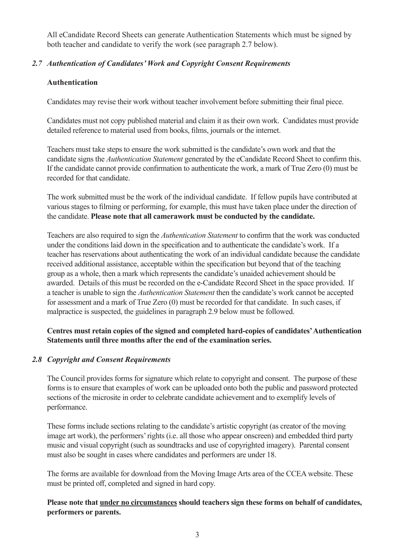All eCandidate Record Sheets can generate Authentication Statements which must be signed by both teacher and candidate to verify the work (see paragraph 2.7 below).

# *2.7 Authentication of Candidates' Work and Copyright Consent Requirements*

# **Authentication**

Candidates may revise their work without teacher involvement before submitting their final piece.

Candidates must not copy published material and claim it as their own work. Candidates must provide detailed reference to material used from books, films, journals or the internet.

Teachers must take steps to ensure the work submitted is the candidate's own work and that the candidate signs the *Authentication Statement* generated by the eCandidate Record Sheet to confirm this. If the candidate cannot provide confirmation to authenticate the work, a mark of True Zero (0) must be recorded for that candidate.

The work submitted must be the work of the individual candidate. If fellow pupils have contributed at various stages to filming or performing, for example, this must have taken place under the direction of the candidate. **Please note that all camerawork must be conducted by the candidate.**

Teachers are also required to sign the *Authentication Statement* to confirm that the work was conducted under the conditions laid down in the specification and to authenticate the candidate's work. If a teacher has reservations about authenticating the work of an individual candidate because the candidate received additional assistance, acceptable within the specification but beyond that of the teaching group as a whole, then a mark which represents the candidate's unaided achievement should be awarded. Details of this must be recorded on the e-Candidate Record Sheet in the space provided. If a teacher is unable to sign the *Authentication Statement* then the candidate's work cannot be accepted for assessment and a mark of True Zero (0) must be recorded for that candidate. In such cases, if malpractice is suspected, the guidelines in paragraph 2.9 below must be followed.

# **Centres must retain copies of the signed and completed hard-copies of candidates' Authentication Statements until three months after the end of the examination series.**

# *2.8 Copyright and Consent Requirements*

The Council provides forms for signature which relate to copyright and consent. The purpose of these forms is to ensure that examples of work can be uploaded onto both the public and password protected sections of the microsite in order to celebrate candidate achievement and to exemplify levels of performance.

These forms include sections relating to the candidate's artistic copyright (as creator of the moving image art work), the performers' rights (i.e. all those who appear onscreen) and embedded third party music and visual copyright (such as soundtracks and use of copyrighted imagery). Parental consent must also be sought in cases where candidates and performers are under 18.

The forms are available for download from the Moving Image Arts area of the CCEA website. These must be printed off, completed and signed in hard copy.

# **Please note that under no circumstances should teachers sign these forms on behalf of candidates, performers or parents.**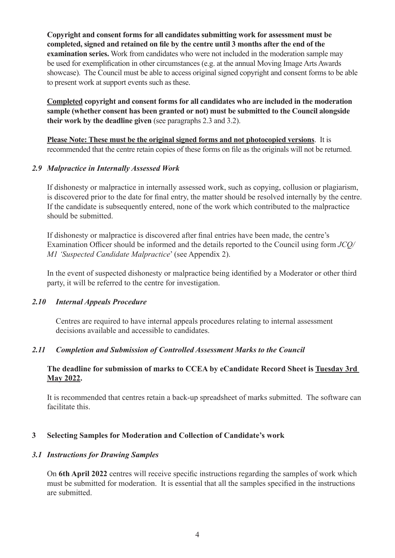**Copyright and consent forms for all candidates submitting work for assessment must be completed, signed and retained on file by the centre until 3 months after the end of the examination series.** Work from candidates who were not included in the moderation sample may be used for exemplification in other circumstances (e.g. at the annual Moving Image Arts Awards showcase). The Council must be able to access original signed copyright and consent forms to be able to present work at support events such as these.

**Completed copyright and consent forms for all candidates who are included in the moderation sample (whether consent has been granted or not) must be submitted to the Council alongside their work by the deadline given** (see paragraphs 2.3 and 3.2).

**Please Note: These must be the original signed forms and not photocopied versions**. It is recommended that the centre retain copies of these forms on file as the originals will not be returned.

#### *2.9 Malpractice in Internally Assessed Work*

If dishonesty or malpractice in internally assessed work, such as copying, collusion or plagiarism, is discovered prior to the date for final entry, the matter should be resolved internally by the centre. If the candidate is subsequently entered, none of the work which contributed to the malpractice should be submitted.

If dishonesty or malpractice is discovered after final entries have been made, the centre's Examination Officer should be informed and the details reported to the Council using form *JCQ/ M1 'Suspected Candidate Malpractice*' (see Appendix 2).

In the event of suspected dishonesty or malpractice being identified by a Moderator or other third party, it will be referred to the centre for investigation.

# *2.10 Internal Appeals Procedure*

Centres are required to have internal appeals procedures relating to internal assessment decisions available and accessible to candidates.

# *2.11 Completion and Submission of Controlled Assessment Marks to the Council*

# **The deadline for submission of marks to CCEA by eCandidate Record Sheet is Tuesday 3rd May 2022.**

It is recommended that centres retain a back-up spreadsheet of marks submitted. The software can facilitate this.

# **3 Selecting Samples for Moderation and Collection of Candidate's work**

# *3.1 Instructions for Drawing Samples*

On **6th April 2022** centres will receive specific instructions regarding the samples of work which must be submitted for moderation. It is essential that all the samples specified in the instructions are submitted.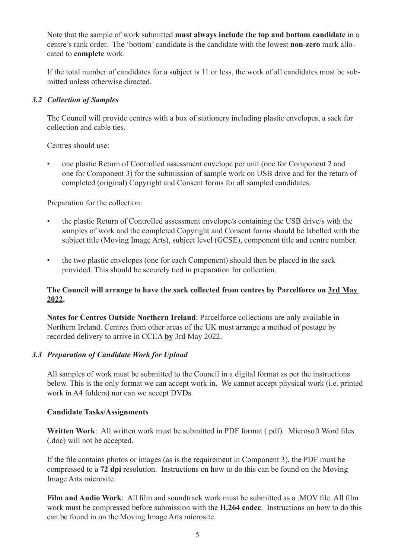Note that the sample of work submitted **must always include the top and bottom candidate** in a centre's rank order. The 'bottom' candidate is the candidate with the lowest **non-zero** mark allocated to **complete** work.

If the total number of candidates for a subject is 11 or less, the work of all candidates must be submitted unless otherwise directed.

# *3.2 Collection of Samples*

The Council will provide centres with a box of stationery including plastic envelopes, a sack for collection and cable ties.

Centres should use:

• one plastic Return of Controlled assessment envelope per unit (one for Component 2 and one for Component 3) for the submission of sample work on USB drive and for the return of completed (original) Copyright and Consent forms for all sampled candidates.

Preparation for the collection:

- the plastic Return of Controlled assessment envelope/s containing the USB drive/s with the samples of work and the completed Copyright and Consent forms should be labelled with the subject title (Moving Image Arts), subject level (GCSE), component title and centre number.
- the two plastic envelopes (one for each Component) should then be placed in the sack provided. This should be securely tied in preparation for collection.

# **The Council will arrange to have the sack collected from centres by Parcelforce on 3rd May 2022.**

**Notes for Centres Outside Northern Ireland**: Parcelforce collections are only available in Northern Ireland. Centres from other areas of the UK must arrange a method of postage by recorded delivery to arrive in CCEA **by** 3rd May 2022.

# *3.3 Preparation of Candidate Work for Upload*

All samples of work must be submitted to the Council in a digital format as per the instructions below. This is the only format we can accept work in. We cannot accept physical work (i.e. printed work in A4 folders) nor can we accept DVDs.

# **Candidate Tasks/Assignments**

**Written Work**: All written work must be submitted in PDF format (.pdf). Microsoft Word files (.doc) will not be accepted.

If the file contains photos or images (as is the requirement in Component 3), the PDF must be compressed to a **72 dpi** resolution. Instructions on how to do this can be found on the Moving Image Arts microsite.

**Film and Audio Work**: All film and soundtrack work must be submitted as a .MOV file. All film work must be compressed before submission with the **H.264 codec**. Instructions on how to do this can be found in on the Moving Image Arts microsite.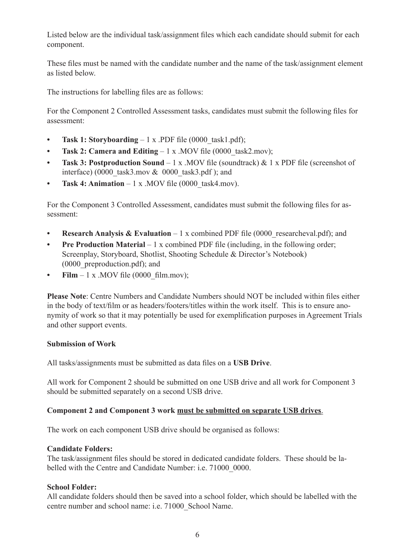Listed below are the individual task/assignment files which each candidate should submit for each component.

These files must be named with the candidate number and the name of the task/assignment element as listed below.

The instructions for labelling files are as follows:

For the Component 2 Controlled Assessment tasks, candidates must submit the following files for assessment:

- **Task 1: Storyboarding** 1 x .PDF file (0000\_task1.pdf);
- **Task 2: Camera and Editing** 1 x .MOV file (0000 task2.mov);
- **• Task 3: Postproduction Sound**  1 x .MOV file (soundtrack) & 1 x PDF file (screenshot of interface) (0000\_task3.mov  $& 0000$ \_task3.pdf ); and
- **Task 4: Animation** 1 x .MOV file (0000 task4.mov).

For the Component 3 Controlled Assessment, candidates must submit the following files for assessment:

- **Research Analysis & Evaluation** 1 x combined PDF file (0000 researcheval.pdf); and
- **Pre Production Material** 1 x combined PDF file (including, in the following order; Screenplay, Storyboard, Shotlist, Shooting Schedule & Director's Notebook) (0000\_preproduction.pdf); and
- **Film**  $-1$  x .MOV file (0000\_film.mov);

**Please Note**: Centre Numbers and Candidate Numbers should NOT be included within files either in the body of text/film or as headers/footers/titles within the work itself. This is to ensure anonymity of work so that it may potentially be used for exemplification purposes in Agreement Trials and other support events.

#### **Submission of Work**

All tasks/assignments must be submitted as data files on a **USB Drive**.

All work for Component 2 should be submitted on one USB drive and all work for Component 3 should be submitted separately on a second USB drive.

# **Component 2 and Component 3 work must be submitted on separate USB drives**.

The work on each component USB drive should be organised as follows:

#### **Candidate Folders:**

The task/assignment files should be stored in dedicated candidate folders. These should be labelled with the Centre and Candidate Number: i.e. 71000 0000.

# **School Folder:**

All candidate folders should then be saved into a school folder, which should be labelled with the centre number and school name: i.e. 71000\_School Name.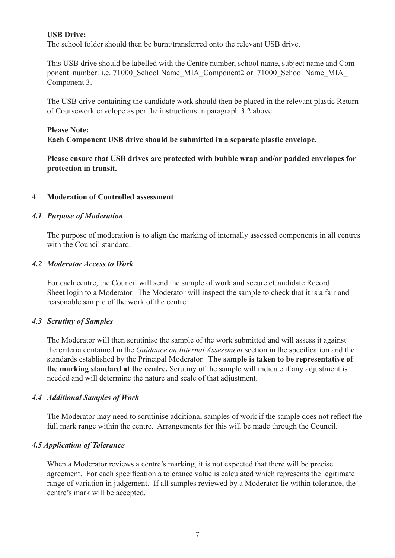#### **USB Drive:**

The school folder should then be burnt/transferred onto the relevant USB drive.

This USB drive should be labelled with the Centre number, school name, subject name and Component number: i.e. 71000 School Name\_MIA\_Component2 or 71000\_School Name\_MIA Component 3.

The USB drive containing the candidate work should then be placed in the relevant plastic Return of Coursework envelope as per the instructions in paragraph 3.2 above.

#### **Please Note:**

**Each Component USB drive should be submitted in a separate plastic envelope.** 

**Please ensure that USB drives are protected with bubble wrap and/or padded envelopes for protection in transit.**

#### **4 Moderation of Controlled assessment**

#### *4.1 Purpose of Moderation*

The purpose of moderation is to align the marking of internally assessed components in all centres with the Council standard.

#### *4.2 Moderator Access to Work*

For each centre, the Council will send the sample of work and secure eCandidate Record Sheet login to a Moderator. The Moderator will inspect the sample to check that it is a fair and reasonable sample of the work of the centre.

#### *4.3 Scrutiny of Samples*

The Moderator will then scrutinise the sample of the work submitted and will assess it against the criteria contained in the *Guidance on Internal Assessment* section in the specification and the standards established by the Principal Moderator. **The sample is taken to be representative of the marking standard at the centre.** Scrutiny of the sample will indicate if any adjustment is needed and will determine the nature and scale of that adjustment.

#### *4.4 Additional Samples of Work*

The Moderator may need to scrutinise additional samples of work if the sample does not reflect the full mark range within the centre. Arrangements for this will be made through the Council.

#### *4.5 Application of Tolerance*

When a Moderator reviews a centre's marking, it is not expected that there will be precise agreement. For each specification a tolerance value is calculated which represents the legitimate range of variation in judgement. If all samples reviewed by a Moderator lie within tolerance, the centre's mark will be accepted.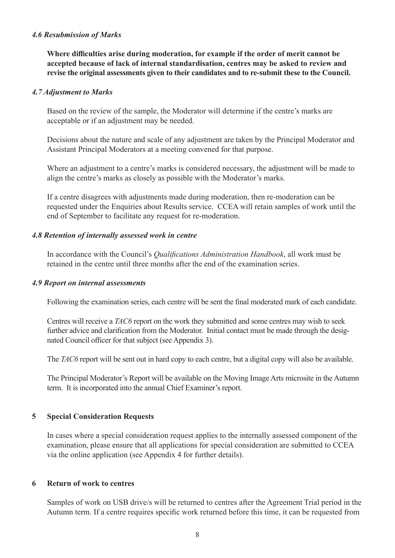#### *4.6 Resubmission of Marks*

**Where difficulties arise during moderation, for example if the order of merit cannot be accepted because of lack of internal standardisation, centres may be asked to review and revise the original assessments given to their candidates and to re-submit these to the Council.**

#### *4.7 Adjustment to Marks*

Based on the review of the sample, the Moderator will determine if the centre's marks are acceptable or if an adjustment may be needed.

Decisions about the nature and scale of any adjustment are taken by the Principal Moderator and Assistant Principal Moderators at a meeting convened for that purpose.

Where an adjustment to a centre's marks is considered necessary, the adjustment will be made to align the centre's marks as closely as possible with the Moderator's marks.

If a centre disagrees with adjustments made during moderation, then re-moderation can be requested under the Enquiries about Results service. CCEA will retain samples of work until the end of September to facilitate any request for re-moderation.

#### *4.8 Retention of internally assessed work in centre*

In accordance with the Council's *Qualifications Administration Handbook*, all work must be retained in the centre until three months after the end of the examination series.

#### *4.9 Report on internal assessments*

Following the examination series, each centre will be sent the final moderated mark of each candidate.

Centres will receive a *TAC6* report on the work they submitted and some centres may wish to seek further advice and clarification from the Moderator. Initial contact must be made through the designated Council officer for that subject (see Appendix 3).

The *TAC6* report will be sent out in hard copy to each centre, but a digital copy will also be available.

The Principal Moderator's Report will be available on the Moving Image Arts microsite in the Autumn term. It is incorporated into the annual Chief Examiner's report.

#### **5 Special Consideration Requests**

In cases where a special consideration request applies to the internally assessed component of the examination, please ensure that all applications for special consideration are submitted to CCEA via the online application (see Appendix 4 for further details).

#### **6 Return of work to centres**

Samples of work on USB drive/s will be returned to centres after the Agreement Trial period in the Autumn term. If a centre requires specific work returned before this time, it can be requested from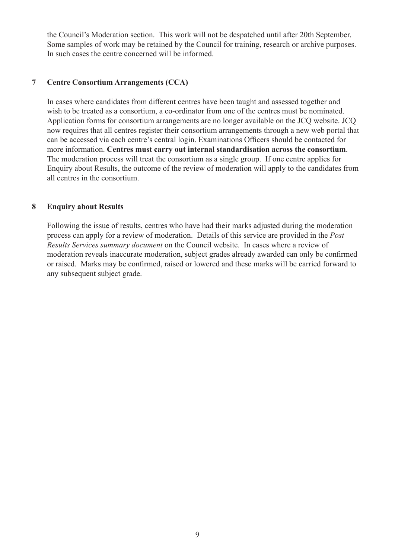the Council's Moderation section. This work will not be despatched until after 20th September. Some samples of work may be retained by the Council for training, research or archive purposes. In such cases the centre concerned will be informed.

# **7 Centre Consortium Arrangements (CCA)**

In cases where candidates from different centres have been taught and assessed together and wish to be treated as a consortium, a co-ordinator from one of the centres must be nominated. Application forms for consortium arrangements are no longer available on the JCQ website. JCQ now requires that all centres register their consortium arrangements through a new web portal that can be accessed via each centre's central login. Examinations Officers should be contacted for more information. **Centres must carry out internal standardisation across the consortium**. The moderation process will treat the consortium as a single group. If one centre applies for Enquiry about Results, the outcome of the review of moderation will apply to the candidates from all centres in the consortium.

# **8 Enquiry about Results**

Following the issue of results, centres who have had their marks adjusted during the moderation process can apply for a review of moderation. Details of this service are provided in the *Post Results Services summary document* on the Council website. In cases where a review of moderation reveals inaccurate moderation, subject grades already awarded can only be confirmed or raised. Marks may be confirmed, raised or lowered and these marks will be carried forward to any subsequent subject grade.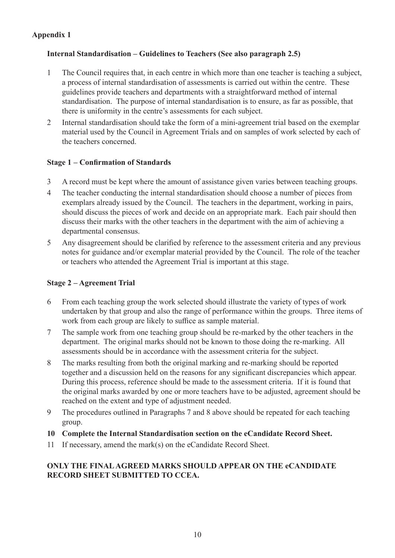# **Appendix 1**

# **Internal Standardisation – Guidelines to Teachers (See also paragraph 2.5)**

- 1 The Council requires that, in each centre in which more than one teacher is teaching a subject, a process of internal standardisation of assessments is carried out within the centre. These guidelines provide teachers and departments with a straightforward method of internal standardisation. The purpose of internal standardisation is to ensure, as far as possible, that there is uniformity in the centre's assessments for each subject.
- 2 Internal standardisation should take the form of a mini-agreement trial based on the exemplar material used by the Council in Agreement Trials and on samples of work selected by each of the teachers concerned.

# **Stage 1 – Confirmation of Standards**

- 3 A record must be kept where the amount of assistance given varies between teaching groups.
- 4 The teacher conducting the internal standardisation should choose a number of pieces from exemplars already issued by the Council. The teachers in the department, working in pairs, should discuss the pieces of work and decide on an appropriate mark. Each pair should then discuss their marks with the other teachers in the department with the aim of achieving a departmental consensus.
- 5 Any disagreement should be clarified by reference to the assessment criteria and any previous notes for guidance and/or exemplar material provided by the Council. The role of the teacher or teachers who attended the Agreement Trial is important at this stage.

# **Stage 2 – Agreement Trial**

- 6 From each teaching group the work selected should illustrate the variety of types of work undertaken by that group and also the range of performance within the groups. Three items of work from each group are likely to suffice as sample material.
- 7 The sample work from one teaching group should be re-marked by the other teachers in the department. The original marks should not be known to those doing the re-marking. All assessments should be in accordance with the assessment criteria for the subject.
- 8 The marks resulting from both the original marking and re-marking should be reported together and a discussion held on the reasons for any significant discrepancies which appear. During this process, reference should be made to the assessment criteria. If it is found that the original marks awarded by one or more teachers have to be adjusted, agreement should be reached on the extent and type of adjustment needed.
- 9 The procedures outlined in Paragraphs 7 and 8 above should be repeated for each teaching group.
- **10 Complete the Internal Standardisation section on the eCandidate Record Sheet.**
- 11 If necessary, amend the mark(s) on the eCandidate Record Sheet.

# **ONLY THE FINAL AGREED MARKS SHOULD APPEAR ON THE eCANDIDATE RECORD SHEET SUBMITTED TO CCEA.**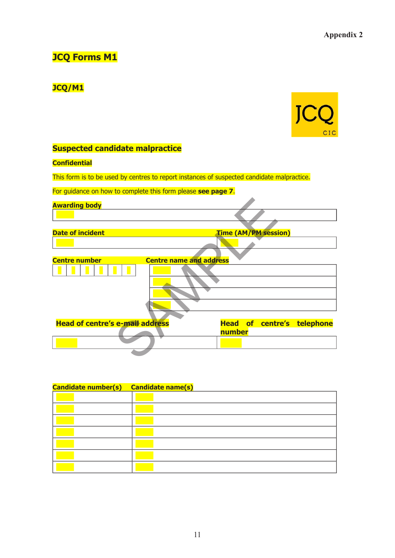# **JCQ Forms M1**

# **JCQ/M1**



# **Suspected candidate malpractice**

#### **Confidential**

This form is to be used by centres to report instances of suspected candidate malpractice.

For guidance on how to complete this form please **see page 7**.

| <b>Awarding body</b>                   |                                   |
|----------------------------------------|-----------------------------------|
|                                        |                                   |
|                                        |                                   |
| <b>Date of incident</b>                | <b>Time (AM/PM session)</b>       |
|                                        |                                   |
|                                        |                                   |
| <b>Centre number</b>                   | <b>Centre name and address</b>    |
|                                        |                                   |
| <b>Head of centre's e-mail address</b> | <b>Head of centre's telephone</b> |
|                                        | number                            |
|                                        |                                   |
|                                        |                                   |

| <b>Candidate number(s)</b> | <b>Candidate name(s)</b> |
|----------------------------|--------------------------|
|                            |                          |
|                            |                          |
|                            |                          |
|                            |                          |
|                            |                          |
|                            |                          |
|                            |                          |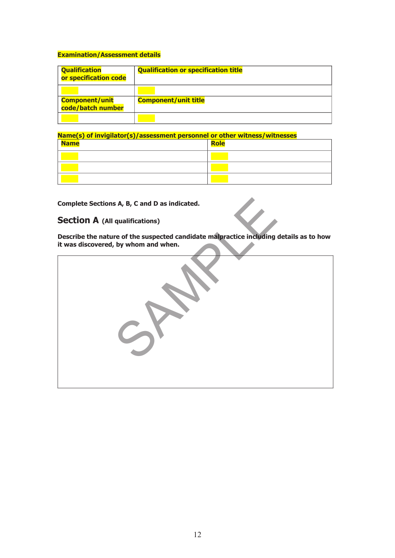#### **Examination/Assessment details**

| <b>Qualification</b><br>or specification code | <b>Qualification or specification title</b> |
|-----------------------------------------------|---------------------------------------------|
| <b>Component/unit</b><br>code/batch number    | <b>Component/unit title</b>                 |
|                                               |                                             |

**Name(s) of invigilator(s)/assessment personnel or other witness/witnesses**

| <b>Name</b> | Role |
|-------------|------|
|             |      |
|             |      |
|             |      |

**Complete Sections A, B, C and D as indicated.**

# **Section A (All qualifications)**

**Describe the nature of the suspected candidate malpractice including details as to how** 

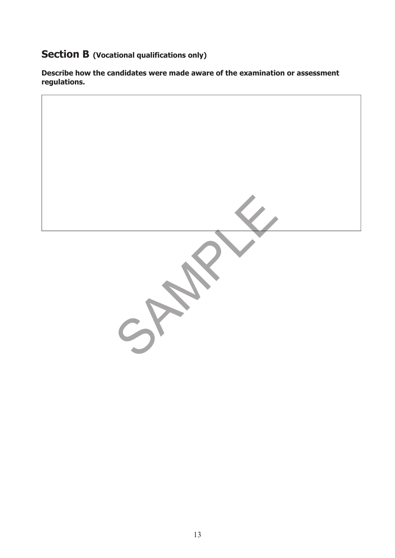# **Section B (Vocational qualifications only)**

**Describe how the candidates were made aware of the examination or assessment regulations.**

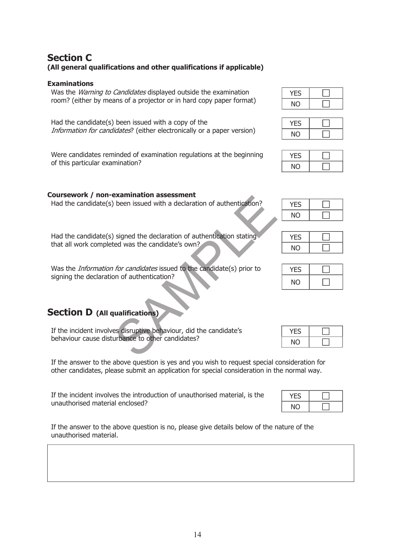# **Section C (All general qualifications and other qualifications if applicable)**

#### **Examinations**

Was the *Warning to Candidates* displayed outside the examination room? (either by means of a projector or in hard copy paper format)

Had the candidate(s) been issued with a copy of the Information for candidates? (either electronically or a paper version)

Were candidates reminded of examination regulations at the beginning of this particular examination?

# **Coursework / non-examination assessment**

Had the candidate(s) been issued with a declaration of authentication?  $\sqrt{YES}$ 

Had the candidate(s) signed the declaration of authentication stating that all work completed was the candidate's own?

Was the *Information for candidates* issued to the candidate(s) prior to signing the declaration of authentication? Examination assessment<br>
been issued with a declaration of authentication?<br>
Signed the declaration of authentication stating<br>
red was the candidate's own?<br>
for candidates issued to the candidate(s) prior to<br>
on of authentic

# **Section D (All qualifications)**

If the incident involves disruptive behaviour, did the candidate's behaviour cause disturbance to other candidates?

If the answer to the above question is yes and you wish to request special consideration for other candidates, please submit an application for special consideration in the normal way.

If the incident involves the introduction of unauthorised material, is the unauthorised material enclosed?

If the answer to the above question is no, please give details below of the nature of the unauthorised material.

| Ή         |  |
|-----------|--|
| <b>NO</b> |  |



| -5       |  |
|----------|--|
| <b>O</b> |  |



| ÷. |  |
|----|--|
| ΝO |  |

| YFS |  |
|-----|--|
| ΝO  |  |

| -5 |  |
|----|--|
| NΟ |  |

| YES. |  |
|------|--|
| NΟ   |  |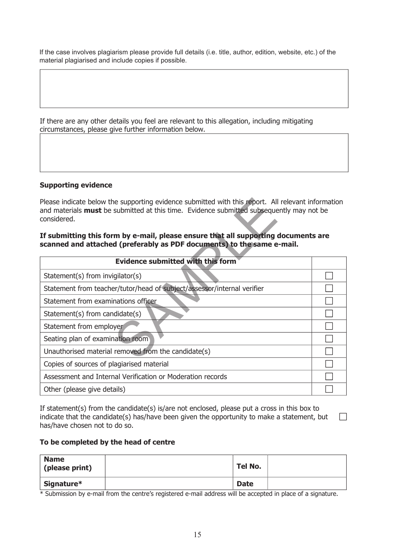If the case involves plagiarism please provide full details (i.e. title, author, edition, website, etc.) of the material plagiarised and include copies if possible.

If there are any other details you feel are relevant to this allegation, including mitigating circumstances, please give further information below.

#### **Supporting evidence**

#### **If submitting this form by e-mail, please ensure that all supporting documents are scanned and attached (preferably as PDF documents) to the same e-mail.**

| Please indicate below the supporting evidence submitted with this report. All relevant information<br>and materials <b>must</b> be submitted at this time. Evidence submitted subsequently may not be<br>considered.<br>If submitting this form by e-mail, please ensure that all supporting documents are<br>scanned and attached (preferably as PDF documents) to the same e-mail. |  |  |
|--------------------------------------------------------------------------------------------------------------------------------------------------------------------------------------------------------------------------------------------------------------------------------------------------------------------------------------------------------------------------------------|--|--|
| <b>Evidence submitted with this form</b>                                                                                                                                                                                                                                                                                                                                             |  |  |
| Statement(s) from invigilator(s)                                                                                                                                                                                                                                                                                                                                                     |  |  |
| Statement from teacher/tutor/head of subject/assessor/internal verifier                                                                                                                                                                                                                                                                                                              |  |  |
| Statement from examinations officer                                                                                                                                                                                                                                                                                                                                                  |  |  |
| $Statement(s)$ from candidate(s)                                                                                                                                                                                                                                                                                                                                                     |  |  |
| Statement from employer                                                                                                                                                                                                                                                                                                                                                              |  |  |
| Seating plan of examination room                                                                                                                                                                                                                                                                                                                                                     |  |  |
| Unauthorised material removed from the candidate(s)                                                                                                                                                                                                                                                                                                                                  |  |  |
| Copies of sources of plagiarised material                                                                                                                                                                                                                                                                                                                                            |  |  |
| Assessment and Internal Verification or Moderation records                                                                                                                                                                                                                                                                                                                           |  |  |
| Other (please give details)                                                                                                                                                                                                                                                                                                                                                          |  |  |

If statement(s) from the candidate(s) is/are not enclosed, please put a cross in this box to indicate that the candidate(s) has/have been given the opportunity to make a statement, but  $\Box$ has/have chosen not to do so.

#### **To be completed by the head of centre**

| <b>Name</b><br>(please print) | Tel No.     |  |
|-------------------------------|-------------|--|
| Signature*                    | <b>Date</b> |  |

\* Submission by e-mail from the centre's registered e-mail address will be accepted in place of a signature.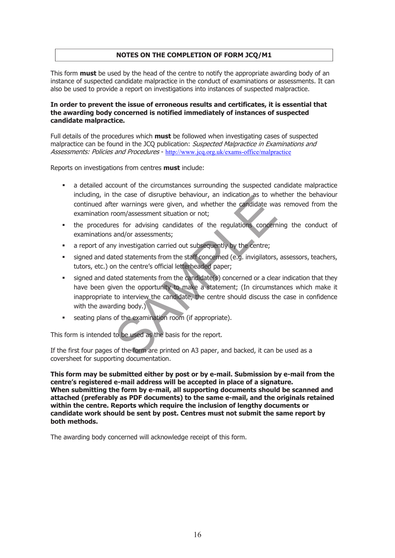#### **NOTES ON THE COMPLETION OF FORM JCQ/M1**

This form **must** be used by the head of the centre to notify the appropriate awarding body of an instance of suspected candidate malpractice in the conduct of examinations or assessments. It can also be used to provide a report on investigations into instances of suspected malpractice.

#### **In order to prevent the issue of erroneous results and certificates, it is essential that the awarding body concerned is notified immediately of instances of suspected candidate malpractice.**

Full details of the procedures which **must** be followed when investigating cases of suspected malpractice can be found in the JCQ publication: Suspected Malpractice in Examinations and Assessments: Policies and Procedures - http://www.jcq.org.uk/exams-office/malpractice

Reports on investigations from centres **must** include:

- a detailed account of the circumstances surrounding the suspected candidate malpractice including, in the case of disruptive behaviour, an indication as to whether the behaviour continued after warnings were given, and whether the candidate was removed from the examination room/assessment situation or not;
- the procedures for advising candidates of the regulations concerning the conduct of examinations and/or assessments;
- a report of any investigation carried out subsequently by the centre;
- signed and dated statements from the staff concerned (e.g. invigilators, assessors, teachers, tutors, etc.) on the centre's official letterheaded paper;
- signed and dated statements from the candidate(s) concerned or a clear indication that they have been given the opportunity to make a statement; (In circumstances which make it inappropriate to interview the candidate, the centre should discuss the case in confidence with the awarding body.) The case of distiplive behaviour, an indication as to with<br>the varianings were given, and whether the candidate wa<br>com/assessment situation or not;<br>es for advising candidates of the regulations concern<br>and/or assessments;<br>
- seating plans of the examination room (if appropriate).

This form is intended to be used as the basis for the report.

If the first four pages of the form are printed on A3 paper, and backed, it can be used as a coversheet for supporting documentation.

**This form may be submitted either by post or by e-mail. Submission by e-mail from the centre's registered e-mail address will be accepted in place of a signature. When submitting the form by e-mail, all supporting documents should be scanned and attached (preferably as PDF documents) to the same e-mail, and the originals retained within the centre. Reports which require the inclusion of lengthy documents or candidate work should be sent by post. Centres must not submit the same report by both methods.**

The awarding body concerned will acknowledge receipt of this form.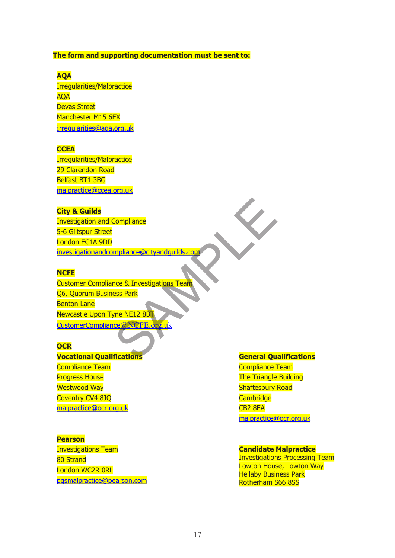#### **The form and supporting documentation must be sent to:**

#### **AQA**

Irregularities/Malpractice AQA Devas Street Manchester M15 6EX irregularities@aqa.org.uk

#### **CCEA**

Irregularities/Malpractice 29 Clarendon Road Belfast BT1 3BG malpractice@ccea.org.uk

#### **City & Guilds**

Investigation and Compliance 5-6 Giltspur Street London EC1A 9DD investigationandcompliance@cityandguilds.com

#### **NCFE**

Customer Compliance & Investigations Team Q6, Quorum Business Park Benton Lane Newcastle Upon Tyne NE12 8BT CustomerCompliance@NCFE.org.uk Compliance<br>
<u>mpliance @ cityandquilds.com</u><br>
nce & Investigations Team<br>
ess Park<br>
The NE12 8BT<br>
ce @ NCFE.org.uk<br>
fications

#### **OCR**

**Vocational Qualifications** Compliance Team Progress House Westwood Way Coventry CV4 8JQ malpractice@ocr.org.uk

#### **Pearson**

Investigations Team 80 Strand London WC2R 0RL pqsmalpractice@pearson.com

#### **General Qualifications**

Compliance Team The Triangle Building Shaftesbury Road **Cambridge** CB2 8EA malpractice@ocr.org.uk

#### **Candidate Malpractice**

Investigations Processing Team Lowton House, Lowton Way Hellaby Business Park Rotherham S66 8SS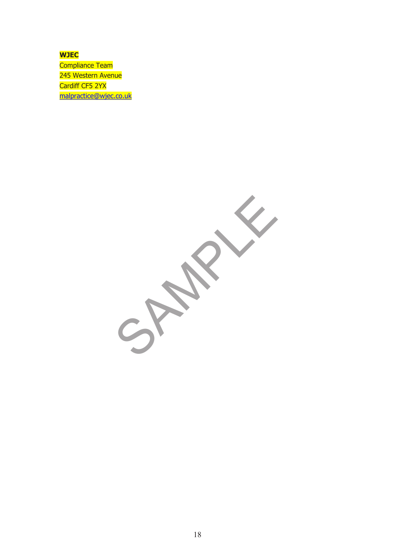**WJEC** Compliance Team 245 Western Avenue Cardiff CF5 2YX malpractice@wjec.co.uk

SPAMPLE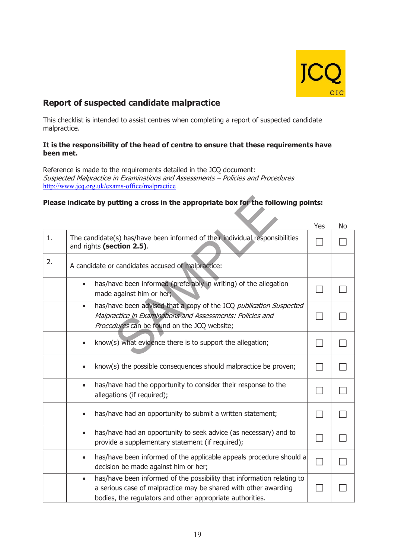

# **Report of suspected candidate malpractice**

This checklist is intended to assist centres when completing a report of suspected candidate malpractice.

#### **It is the responsibility of the head of centre to ensure that these requirements have been met.**

Reference is made to the requirements detailed in the JCQ document: Suspected Malpractice in Examinations and Assessments – Policies and Procedures http://www.jcq.org.uk/exams-office/malpractice

# **Please indicate by putting a cross in the appropriate box for the following points:**

| Please indicate by putting a cross in the appropriate box for the following points: |                                                                                                                                                                                                                     |     |    |  |  |  |
|-------------------------------------------------------------------------------------|---------------------------------------------------------------------------------------------------------------------------------------------------------------------------------------------------------------------|-----|----|--|--|--|
|                                                                                     |                                                                                                                                                                                                                     | Yes | No |  |  |  |
| 1.                                                                                  | The candidate(s) has/have been informed of their individual responsibilities<br>and rights (section 2.5).                                                                                                           |     |    |  |  |  |
| 2.                                                                                  | A candidate or candidates accused of malpractice:                                                                                                                                                                   |     |    |  |  |  |
|                                                                                     | has/have been informed (preferably in writing) of the allegation<br>$\bullet$<br>made against him or her;                                                                                                           |     |    |  |  |  |
|                                                                                     | has/have been advised that a copy of the JCQ publication Suspected<br>$\bullet$<br>Malpractice in Examinations and Assessments: Policies and<br>Procedures can be found on the JCQ website;                         |     |    |  |  |  |
|                                                                                     | know(s) what evidence there is to support the allegation;                                                                                                                                                           |     |    |  |  |  |
|                                                                                     | know(s) the possible consequences should malpractice be proven;                                                                                                                                                     |     |    |  |  |  |
|                                                                                     | has/have had the opportunity to consider their response to the<br>$\bullet$<br>allegations (if required);                                                                                                           |     |    |  |  |  |
|                                                                                     | has/have had an opportunity to submit a written statement;                                                                                                                                                          |     |    |  |  |  |
|                                                                                     | has/have had an opportunity to seek advice (as necessary) and to<br>$\bullet$<br>provide a supplementary statement (if required);                                                                                   |     |    |  |  |  |
|                                                                                     | has/have been informed of the applicable appeals procedure should a<br>$\bullet$<br>decision be made against him or her;                                                                                            |     |    |  |  |  |
|                                                                                     | has/have been informed of the possibility that information relating to<br>$\bullet$<br>a serious case of malpractice may be shared with other awarding<br>bodies, the regulators and other appropriate authorities. |     |    |  |  |  |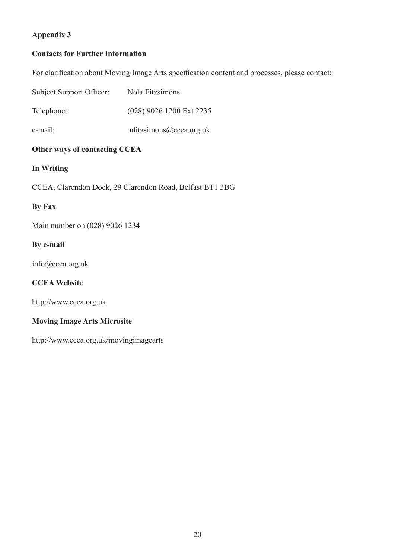# **Appendix 3**

# **Contacts for Further Information**

For clarification about Moving Image Arts specification content and processes, please contact:

| Other ways of contacting CCEA |                          |  |  |  |
|-------------------------------|--------------------------|--|--|--|
| e-mail:                       | nfitzsimons@ccea.org.uk  |  |  |  |
| Telephone:                    | (028) 9026 1200 Ext 2235 |  |  |  |
| Subject Support Officer:      | Nola Fitzsimons          |  |  |  |

# **In Writing**

CCEA, Clarendon Dock, 29 Clarendon Road, Belfast BT1 3BG

# **By Fax**

Main number on (028) 9026 1234

# **By e-mail**

info@ccea.org.uk

# **CCEA Website**

http://www.ccea.org.uk

# **Moving Image Arts Microsite**

http://www.ccea.org.uk/movingimagearts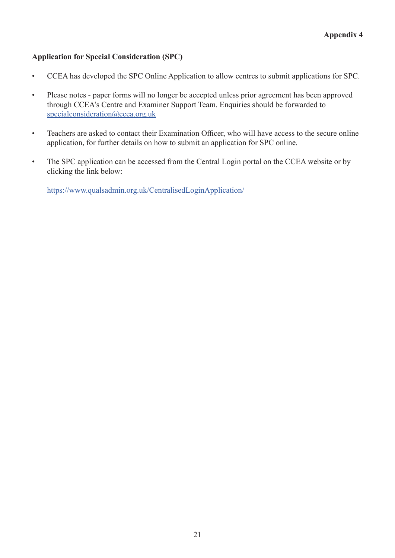# **Application for Special Consideration (SPC)**

- CCEA has developed the SPC Online Application to allow centres to submit applications for SPC.
- Please notes paper forms will no longer be accepted unless prior agreement has been approved through CCEA's Centre and Examiner Support Team. Enquiries should be forwarded to specialconsideration@ccea.org.uk
- Teachers are asked to contact their Examination Officer, who will have access to the secure online application, for further details on how to submit an application for SPC online.
- The SPC application can be accessed from the Central Login portal on the CCEA website or by clicking the link below:

https://www.qualsadmin.org.uk/CentralisedLoginApplication/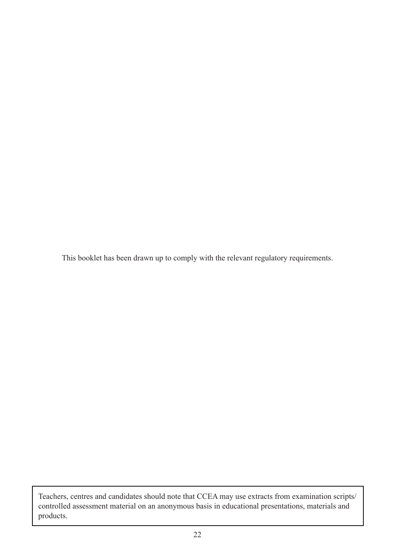This booklet has been drawn up to comply with the relevant regulatory requirements.

Teachers, centres and candidates should note that CCEA may use extracts from examination scripts/ controlled assessment material on an anonymous basis in educational presentations, materials and products.